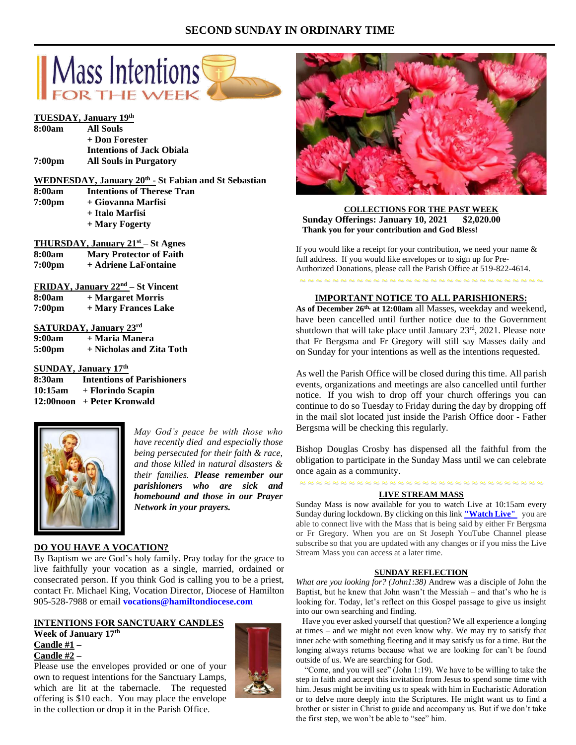## **SECOND SUNDAY IN ORDINARY TIME**





*May God's peace be with those who have recently died and especially those being persecuted for their faith & race, and those killed in natural disasters & their families. Please remember our parishioners who are sick and homebound and those in our Prayer Network in your prayers.*

## **DO YOU HAVE A VOCATION?**

By Baptism we are God's holy family. Pray today for the grace to live faithfully your vocation as a single, married, ordained or consecrated person. If you think God is calling you to be a priest, contact Fr. Michael King, Vocation Director, Diocese of Hamilton 905-528-7988 or email **vocations@hamiltondiocese.com**

## **INTENTIONS FOR SANCTUARY CANDLES Week of January 17 th Candle #1 – Candle #2 –**

Please use the envelopes provided or one of your own to request intentions for the Sanctuary Lamps, which are lit at the tabernacle. The requested offering is \$10 each. You may place the envelope in the collection or drop it in the Parish Office.





**COLLECTIONS FOR THE PAST WEEK Sunday Offerings: January 10, 2021 \$2,020.00 Thank you for your contribution and God Bless!**

If you would like a receipt for your contribution, we need your name & full address. If you would like envelopes or to sign up for Pre-Authorized Donations, please call the Parish Office at 519-822-4614.

# ~ ~ ~ ~ ~ ~ ~ ~ ~ ~ ~ ~ ~ ~ ~ ~ ~ ~ ~ ~ ~ ~ ~ ~ ~ ~ ~ ~ ~ ~ **IMPORTANT NOTICE TO ALL PARISHIONERS:**

**As of December 26th, at 12:00am** all Masses, weekday and weekend, have been cancelled until further notice due to the Government shutdown that will take place until January 23<sup>rd</sup>, 2021. Please note that Fr Bergsma and Fr Gregory will still say Masses daily and on Sunday for your intentions as well as the intentions requested.

As well the Parish Office will be closed during this time. All parish events, organizations and meetings are also cancelled until further notice. If you wish to drop off your church offerings you can continue to do so Tuesday to Friday during the day by dropping off in the mail slot located just inside the Parish Office door - Father Bergsma will be checking this regularly.

Bishop Douglas Crosby has dispensed all the faithful from the obligation to participate in the Sunday Mass until we can celebrate once again as a community.

## ~ ~ ~ ~ ~ ~ ~ ~ ~ ~ ~ ~ ~ ~ ~ ~ ~ ~ ~ ~ ~ ~ ~ ~ ~ ~ ~ ~ ~ ~ **LIVE STREAM MASS**

Sunday Mass is now available for you to watch Live at 10:15am every Sunday during lockdown. By clicking on this link **["Watch](https://www.youtube.com/channel/UCL59hxegD__FDJSdMDrt31w) Live"** you are able to connect live with the Mass that is being said by either Fr Bergsma or Fr Gregory. When you are on St Joseph YouTube Channel please subscribe so that you are updated with any changes or if you miss the Live Stream Mass you can access at a later time.

#### **SUNDAY REFLECTION**

*What are you looking for? (John1:38)* Andrew was a disciple of John the Baptist, but he knew that John wasn't the Messiah – and that's who he is looking for. Today, let's reflect on this Gospel passage to give us insight into our own searching and finding.

 Have you ever asked yourself that question? We all experience a longing at times – and we might not even know why. We may try to satisfy that inner ache with something fleeting and it may satisfy us for a time. But the longing always returns because what we are looking for can't be found outside of us. We are searching for God.

 "Come, and you will see" (John 1:19). We have to be willing to take the step in faith and accept this invitation from Jesus to spend some time with him. Jesus might be inviting us to speak with him in Eucharistic Adoration or to delve more deeply into the Scriptures. He might want us to find a brother or sister in Christ to guide and accompany us. But if we don't take the first step, we won't be able to "see" him.